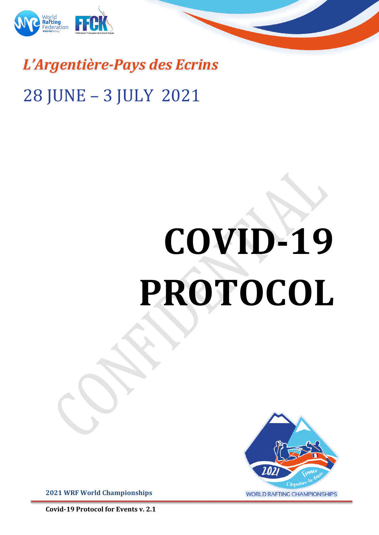

# *L'Argentière-Pays des Ecrins* 28 JUNE - 3 JULY 2021

# **COVID-19 PROTOCOL**



**2021 WRF World Championships** 

**Covid-19 Protocol for Events v. 2.1**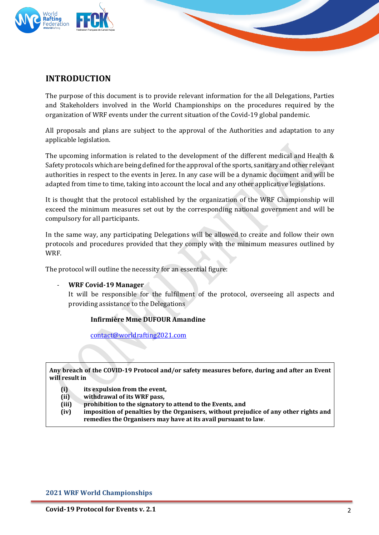

## **INTRODUCTION**

The purpose of this document is to provide relevant information for the all Delegations, Parties and Stakeholders involved in the World Championships on the procedures required by the organization of WRF events under the current situation of the Covid-19 global pandemic.

All proposals and plans are subject to the approval of the Authorities and adaptation to any applicable legislation.

The upcoming information is related to the development of the different medical and Health & Safety protocols which are being defined for the approval of the sports, sanitary and other relevant authorities in respect to the events in Ierez. In any case will be a dynamic document and will be adapted from time to time, taking into account the local and any other applicative legislations.

It is thought that the protocol established by the organization of the WRF Championship will exceed the minimum measures set out by the corresponding national government and will be compulsory for all participants.

In the same way, any participating Delegations will be allowed to create and follow their own protocols and procedures provided that they comply with the minimum measures outlined by WRF. 

The protocol will outline the necessity for an essential figure:

#### **WRF Covid-19 Manager**

It will be responsible for the fulfilment of the protocol, overseeing all aspects and providing assistance to the Delegations

#### **Infirmière Mme DUFOUR Amandine**

contact@worldrafting2021.com

#### Any breach of the COVID-19 Protocol and/or safety measures before, during and after an Event **will result in**

- **(i)** its expulsion from the event,
- (ii) withdrawal of its WRF pass,
- **(iii) prohibition to the signatory to attend to the Events, and**
- (iv) imposition of penalties by the Organisers, without prejudice of any other rights and remedies the Organisers may have at its avail pursuant to law.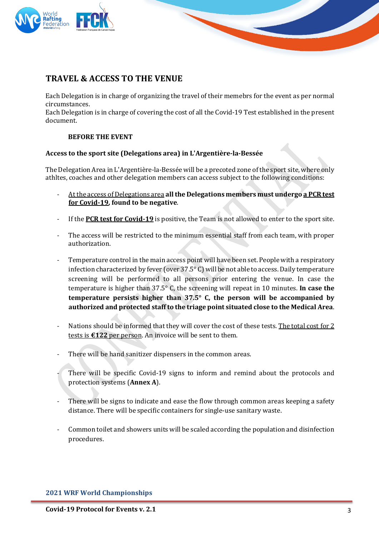

# **TRAVEL & ACCESS TO THE VENUE**

Each Delegation is in charge of organizing the travel of their memebrs for the event as per normal circumstances. 

Each Delegation is in charge of covering the cost of all the Covid-19 Test established in the present document.

#### **BEFORE THE EVENT**

#### Access to the sport site (Delegations area) in L'Argentière-la-Bessée

The Delegation Area in L'Argentière-la-Bessée will be a precoted zone of the sport site, where only athltes, coaches and other delegation members can access subject to the following conditions:

- At the access of Delegations area all the Delegations members must undergo a PCR test **for Covid-19, found to be negative.**
- If the **PCR test for Covid-19** is positive, the Team is not allowed to enter to the sport site.
- The access will be restricted to the minimum essential staff from each team, with proper authorization.
- Temperature control in the main access point will have been set. People with a respiratory infection characterized by fever (over  $37.5^{\circ}$  C) will be not able to access. Daily temperature screening will be performed to all persons prior entering the venue. In case the temperature is higher than  $37.5^\circ$  C, the screening will repeat in 10 minutes. **In case the temperature persists higher than**  $37.5^{\circ}$  **C, the person will be accompanied by** authorized and protected staff to the triage point situated close to the Medical Area.
- Nations should be informed that they will cover the cost of these tests. The total cost for 2 tests is  $\epsilon$ 122 per person. An invoice will be sent to them.
- There will be hand sanitizer dispensers in the common areas.
- There will be specific Covid-19 signs to inform and remind about the protocols and protection systems (Annex A).
- There will be signs to indicate and ease the flow through common areas keeping a safety distance. There will be specific containers for single-use sanitary waste.
- Common toilet and showers units will be scaled according the population and disinfection procedures.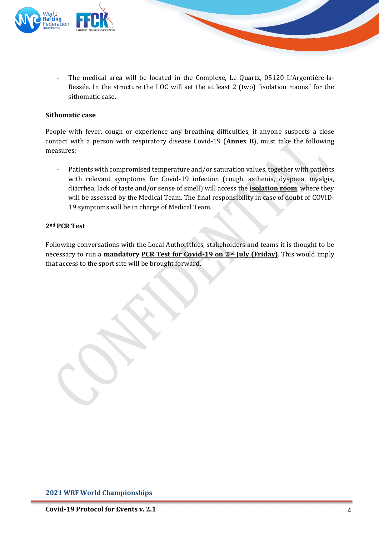

The medical area will be located in the Complexe, Le Quartz, 05120 L'Argentière-la-Bessée. In the structure the LOC will set the at least 2 (two) "isolation rooms" for the sithomatic case.

#### **Sithomatic case**

People with fever, cough or experience any breathing difficulties, if anyone suspects a close contact with a person with respiratory disease Covid-19 (**Annex B**), must take the following measures:

- Patients with compromised temperature and/or saturation values, together with patients with relevant symptoms for Covid-19 infection (cough, asthenia, dyspnea, myalgia, diarrhea, lack of taste and/or sense of smell) will access the **isolation room**, where they will be assessed by the Medical Team. The final responsibility in case of doubt of COVID-19 symptoms will be in charge of Medical Team.

#### **2nd PCR Test**

Following conversations with the Local Authorithies, stakeholders and teams it is thought to be necessary to run a **mandatory PCR Test for Covid-19 on 2<sup>nd</sup> July (Friday)**. This would imply that access to the sport site will be brought forward.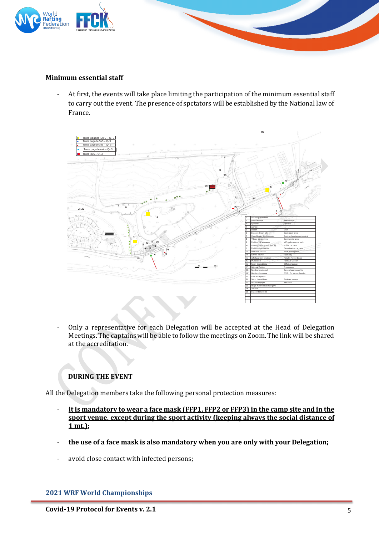

#### **Minimum essential staff**

- At first, the events will take place limiting the participation of the minimum essential staff to carry out the event. The presence of spctators will be established by the National law of France. 



Only a representative for each Delegation will be accepted at the Head of Delegation Meetings. The captains will be able to follow the meetings on Zoom. The link will be shared at the accreditation.

#### **DURING THE EVENT**

All the Delegation members take the following personal protection measures:

- it is mandatory to wear a face mask (FFP1, FFP2 or FFP3) in the camp site and in the sport venue, except during the sport activity (keeping always the social distance of **1 mt.);**
- the use of a face mask is also mandatory when you are only with your Delegation;
- avoid close contact with infected persons;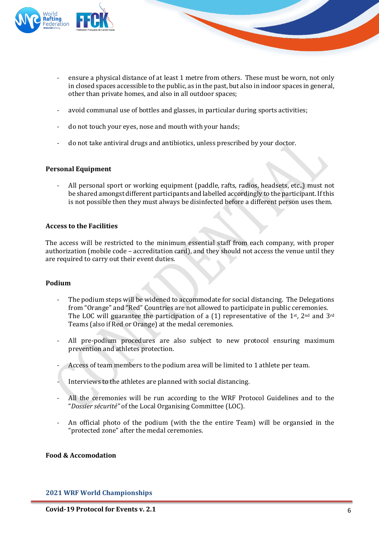

- ensure a physical distance of at least 1 metre from others. These must be worn, not only in closed spaces accessible to the public, as in the past, but also in indoor spaces in general, other than private homes, and also in all outdoor spaces;
- avoid communal use of bottles and glasses, in particular during sports activities;
- do not touch your eyes, nose and mouth with your hands;
- do not take antiviral drugs and antibiotics, unless prescribed by your doctor.

#### **Personal Equipment**

All personal sport or working equipment (paddle, rafts, radios, headsets, etc..) must not be shared amongst different participants and labelled accordingly to the participant. If this is not possible then they must always be disinfected before a different person uses them.

#### **Access to the Facilities**

The access will be restricted to the minimum essential staff from each company, with proper authorization (mobile code – accreditation card), and they should not access the venue until they are required to carry out their event duties.

#### **Podium**

- The podium steps will be widened to accommodate for social distancing. The Delegations from "Orange" and "Red" Countries are not allowed to participate in public ceremonies. The LOC will guarantee the participation of a (1) representative of the 1st,  $2^{nd}$  and  $3^{rd}$ Teams (also if Red or Orange) at the medal ceremonies.
- All pre-podium procedures are also subject to new protocol ensuring maximum prevention and athletes protection.
- Access of team members to the podium area will be limited to 1 athlete per team.
- Interviews to the athletes are planned with social distancing.
- All the ceremonies will be run according to the WRF Protocol Guidelines and to the "Dossier sécurité" of the Local Organising Committee (LOC).
- An official photo of the podium (with the the entire Team) will be organsied in the "protected zone" after the medal ceremonies.

#### **Food & Accomodation**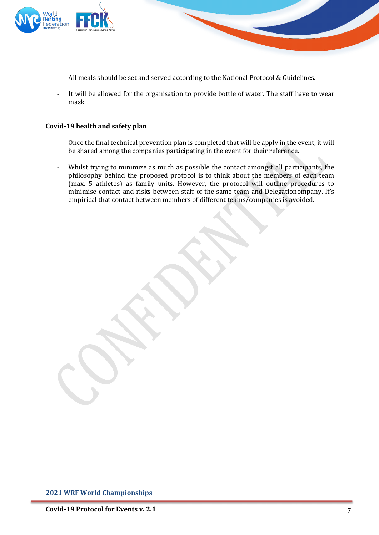

- All meals should be set and served according to the National Protocol & Guidelines.
- It will be allowed for the organisation to provide bottle of water. The staff have to wear mask.

#### **Covid-19 health and safety plan**

- Once the final technical prevention plan is completed that will be apply in the event, it will be shared among the companies participating in the event for their reference.
- Whilst trying to minimize as much as possible the contact amongst all participants, the philosophy behind the proposed protocol is to think about the members of each team (max. 5 athletes) as family units. However, the protocol will outline procedures to minimise contact and risks between staff of the same team and Delegationompany. It's empirical that contact between members of different teams/companies is avoided.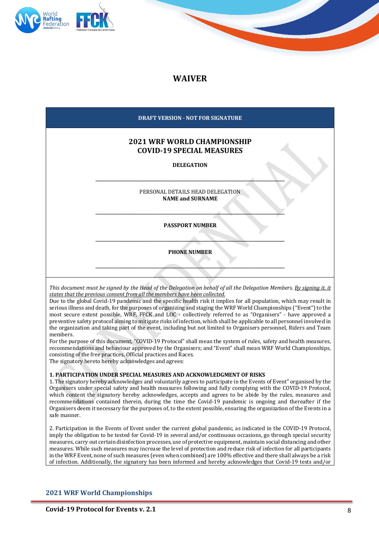

### **WAIVER**

| DRAFT VERSION - NOT FOR SIGNATURE                                                           |  |
|---------------------------------------------------------------------------------------------|--|
| <b>2021 WRF WORLD CHAMPIONSHIP</b><br><b>COVID-19 SPECIAL MEASURES</b><br><b>DELEGATION</b> |  |
| PERSONAL DETAILS HEAD DELEGATION<br><b>NAME and SURNAME</b>                                 |  |
| <b>PASSPORT NUMBER</b>                                                                      |  |
| <b>PHONE NUMBER</b>                                                                         |  |
|                                                                                             |  |

*This document must be signed by the Head of the Delegation on behalf of all the Delegation Members. By signing it. it* states that the previous consent from all the members have been collected.

Due to the global Covid-19 pandemic and the specific health risk it implies for all population, which may result in serious illness and death, for the purposes of organizing and staging the WRF World Championships ("Event") to the most secure extent possible, WRF, FFCK and LOC - collectively referred to as "Organisers" - have approved a preventive safety protocol aiming to mitigate risks of infection, which shall be applicable to all personnel involved in the organization and taking part of the event, including but not limited to Organisers personnel, Riders and Team members. 

For the purpose of this document, "COVID-19 Protocol" shall mean the system of rules, safety and health measures, recommendations and behaviour approved by the Organisers; and "Event" shall mean WRF World Championships, consisting of the free practices, Official practices and Races.

The signatory hereto hereby acknowledges and agrees:

#### **1. PARTICIPATION UNDER SPECIAL MEASURES AND ACKNOWLEDGMENT OF RISKS**

1. The signatory hereby acknowledges and voluntarily agrees to participate in the Events of Event" organised by the Organisers under special safety and health measures following and fully complying with the COVID-19 Protocol, which content the signatory hereby acknowledges, accepts and agrees to be abide by the rules, measures and recommendations contained therein, during the time the Covid-19 pandemic is ongoing and thereafter if the Organisers deem it necessary for the purposes of, to the extent possible, ensuring the organization of the Events in a safe manner.

2. Participation in the Events of Event under the current global pandemic, as indicated in the COVID-19 Protocol, imply the obligation to be tested for Covid-19 in several and/or continuous occasions, go through special security measures, carry out certain disinfection processes, use of protective equipment, maintain social distancing and other measures. While such measures may increase the level of protection and reduce risk of infection for all participants in the WRF Event, none of such measures (even when combined) are 100% effective and there shall always be a risk of infection. Additionally, the signatory has been informed and hereby acknowledges that Covid-19 tests and/or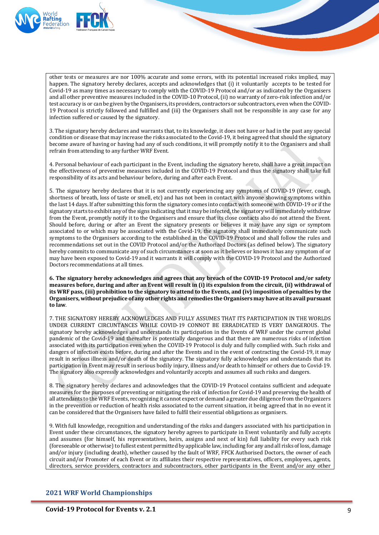

other tests or measures are nor 100% accurate and some errors, with its potential increased risks implied, may happen. The signatory hereby declares, accepts and acknowledges that (i) it voluntarily accepts to be tested for Covid-19 as many times as necessary to comply with the COVID-19 Protocol and/or as indicated by the Organisers and all other preventive measures included in the COVID-10 Protocol, (ii) no warranty of zero-risk infection and/or test accuracy is or can be given by the Organisers, its providers, contractors or subcontractors, even when the COVID-19 Protocol is strictly followed and fulfilled and (iii) the Organisers shall not be responsible in any case for any infection suffered or caused by the signatory.

3. The signatory hereby declares and warrants that, to its knowledge, it does not have or had in the past any special condition or disease that may increase the risks associated to the Covid-19, it being agreed that should the signatory become aware of having or having had any of such conditions, it will promptly notify it to the Organisers and shall refrain from attending to any further WRF Event.

4. Personal behaviour of each participant in the Event, including the signatory hereto, shall have a great impact on the effectiveness of preventive measures included in the COVID-19 Protocol and thus the signatory shall take full responsibility of its acts and behaviour before, during and after each Event.

5. The signatory hereby declares that it is not currently experiencing any symptoms of COVID-19 (fever, cough, shortness of breath, loss of taste or smell, etc) and has not been in contact with anyone showing symptoms within the last 14 days. If after submitting this form the signatory comes into contact with someone with COVID-19 or if the signatory starts to exhibit any of the signs indicating that it may be infected, the signatory will immediately withdraw from the Event, promptly notify it to the Organisers and ensure that its close contacts also do not attend the Event. Should before, during or after an Event the signatory presents or believes it may have any sign or symptom associated to or which may be associated with the Covid-19, the signatory shall immediately communicate such symptoms to the Organisers according to the established in the COVID-19 Protocol and shall follow the rules and recommendations set out in the COVID Protocol and/or the Authorized Doctors (as defined below). The signatory hereby commits to communicate any of such circumstances at soon as it believes or knows it has any symptom of or may have been exposed to Covid-19 and it warrants it will comply with the COVID-19 Protocol and the Authorized Doctors recommendations at all times.

6. The signatory hereby acknowledges and agrees that any breach of the COVID-19 Protocol and/or safety measures before, during and after an Event will result in (i) its expulsion from the circuit, (ii) withdrawal of its WRF pass, (iii) prohibition to the signatory to attend to the Events, and (iv) imposition of penalties by the Organisers, without prejudice of any other rights and remedies the Organisers may have at its avail pursuant **to law**. 

7. THE SIGNATORY HEREBY ACKNOWLEDGES AND FULLY ASSUMES THAT ITS PARTICIPATION IN THE WORLDS UNDER CURRENT CIRCUNTANCES WHILE COVID-19 CONNOT BE ERRADICATED IS VERY DANGEROUS. The signatory hereby acknowledges and understands its participation in the Events of WRF under the current global pandemic of the Covid-19 and thereafter is potentially dangerous and that there are numerous risks of infection associated with its participation even when the COVID-19 Protocol is duly and fully complied with. Such risks and dangers of infection exists before, during and after the Events and in the event of contracting the Covid-19, it may result in serious illness and/or death of the signatory. The signatory fully acknowledges and understands that its participation in Event may result in serious bodily injury, illness and/or death to himself or others due to Covid-19. The signatory also expressly acknowledges and voluntarily accepts and assumes all such risks and dangers.

8. The signatory hereby declares and acknowledges that the COVID-19 Protocol contains sufficient and adequate measures for the purposes of preventing or mitigating the risk of infection for Covid-19 and preserving the health of all attendants to the WRF Events, recognizing it cannot expect or demand a greater due diligence from the Organizers in the prevention or reduction of health risks associated to the current situation, it being agreed that in no event it can be considered that the Organisers have failed to fulfil their essential obligations as organisers.

9. With full knowledge, recognition and understanding of the risks and dangers associated with his participation in Event under these circumstances, the signatory hereby agrees to participate in Event voluntarily and fully accepts and assumes (for himself, his representatives, heirs, assigns and next of kin) full liability for every such risk (foreseeable or otherwise) to fullest extent permitted by applicable law, including for any and all risks of loss, damage and/or injury (including death), whether caused by the fault of WRF, FFCK Authorised Doctors, the owner of each circuit and/or Promoter of each Event or its affiliates their respective representatives, officers, employees, agents, directors, service providers, contractors and subcontractors, other participants in the Event and/or any other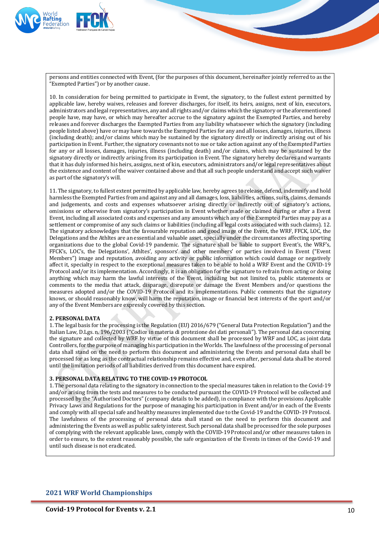

persons and entities connected with Event, (for the purposes of this document, hereinafter jointly referred to as the "Exempted Parties") or by another cause.

10. In consideration for being permitted to participate in Event, the signatory, to the fullest extent permitted by applicable law, hereby waives, releases and forever discharges, for itself, its heirs, assigns, next of kin, executors, administrators and legal representatives, any and all rights and/or claims which the signatory or the aforementioned people have, may have, or which may hereafter accrue to the signatory against the Exempted Parties, and hereby releases and forever discharges the Exempted Parties from any liability whatsoever which the signatory (including people listed above) have or may have towards the Exempted Parties for any and all losses, damages, injuries, illness (including death); and/or claims which may be sustained by the signatory directly or indirectly arising out of his participation in Event. Further, the signatory covenants not to sue or take action against any of the Exempted Parties for any or all losses, damages, injuries, illness (including death) and/or claims, which may be sustained by the signatory directly or indirectly arising from its participation in Event. The signatory hereby declares and warrants that it has duly informed his heirs, assigns, next of kin, executors, administrators and/or legal representatives about the existence and content of the waiver contained above and that all such people understand and accept such waiver as part of the signatory's will.

11. The signatory, to fullest extent permitted by applicable law, hereby agrees to release, defend, indemnify and hold harmless the Exempted Parties from and against any and all damages, loss, liabilities, actions, suits, claims, demands and judgements, and costs and expenses whatsoever arising directly or indirectly out of signatory's actions, omissions or otherwise from signatory's participation in Event whether made or claimed during or after a Event Event, including all associated costs and expenses and any amounts which any of the Exempted Parties may pay as a settlement or compromise of any such claims or liabilities (including all legal costs associated with such claims). 12. The signatory acknowledges that the favourable reputation and good image of the Event, the WRF, FFCK, LOC, the Delegations and the Athltes are an essential and valuable asset, specially under the circumstances affecting sporting organizations due to the global Covid-19 pandemic. The signature shall be liable to support Event's, the WRF's, FFCK's, LOC's, the Delegations', Athltes', sponsors' and other members' or parties involved in Event ("Event Members") image and reputation, avoiding any activity or public information which could damage or negatively affect it, specialty in respect to the exceptional measures taken to be able to hold a WRF Event and the COVID-19 Protocol and/or its implementation. Accordingly, it is an obligation for the signature to refrain from acting or doing anything which may harm the lawful interests of the Event, including but not limited to, public statements or comments to the media that attack, disparage, disrepute or damage the Event Members and/or questions the measures adopted and/or the COVID-19 Protocol and its implementations. Public comments that the signatory knows, or should reasonably know, will harm the reputation, image or financial best interests of the sport and/or any of the Event Members are expressly covered by this section.

#### **2. PERSONAL DATA**

1. The legal basis for the processing is the Regulation (EU) 2016/679 ("General Data Protection Regulation") and the Italian Law, D.Lgs. n. 196/2003 ("Codice in materia di protezione dei dati personali"). The personal data concerning the signature and collected by WRF by virtue of this document shall be processed by WRF and LOC, as joint data Controllers, for the purpose of managing his participation in the Worlds. The lawfulness of the processing of personal data shall stand on the need to perform this document and administering the Events and personal data shall be processed for as long as the contractual relationship remains effective and, even after, personal data shall be stored until the limitation periods of all liabilities derived from this document have expired.

#### **3. PERSONAL DATA RELATING TO THE COVID-19 PROTOCOL**

1. The personal data relating to the signatory in connection to the special measures taken in relation to the Covid-19 and/or arising from the tests and measures to be conducted pursuant the COVID-19 Protocol will be collected and processed by the "Authorised Doctors" (company details to be added), in compliance with the provisions Applicable Privacy Laws and Regulations for the purpose of managing his participation in Event and/or in each of the Events and comply with all special safe and healthy measures implemented due to the Covid-19 and the COVID-19 Protocol. The lawfulness of the processing of personal data shall stand on the need to perform this document and administering the Events as well as public safety interest. Such personal data shall be processed for the sole purposes of complying with the relevant applicable laws, comply with the COVID-19 Protocol and/or other measures taken in order to ensure, to the extent reasonably possible, the safe organization of the Events in times of the Covid-19 and until such disease is not eradicated.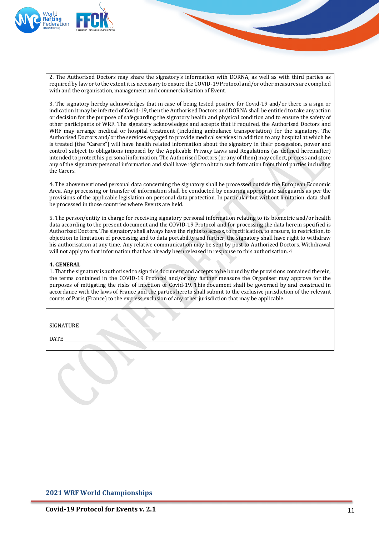

2. The Authorised Doctors may share the signatory's information with DORNA, as well as with third parties as required by law or to the extent it is necessary to ensure the COVID-19 Protocol and/or other measures are complied with and the organisation, management and commercialisation of Event.

3. The signatory hereby acknowledges that in case of being tested positive for Covid-19 and/or there is a sign or indication it may be infected of Covid-19, then the Authorised Doctors and DORNA shall be entitled to take any action or decision for the purpose of safeguarding the signatory health and physical condition and to ensure the safety of other participants of WRF. The signatory acknowledges and accepts that if required, the Authorised Doctors and WRF may arrange medical or hospital treatment (including ambulance transportation) for the signatory. The Authorised Doctors and/or the services engaged to provide medical services in addition to any hospital at which he is treated (the "Carers") will have health related information about the signatory in their possession, power and control subject to obligations imposed by the Applicable Privacy Laws and Regulations (as defined hereinafter) intended to protect his personal information. The Authorised Doctors (or any of them) may collect, process and store any of the signatory personal information and shall have right to obtain such formation from third parties including the Carers.

4. The abovementioned personal data concerning the signatory shall be processed outside the European Economic Area. Any processing or transfer of information shall be conducted by ensuring appropriate safeguards as per the provisions of the applicable legislation on personal data protection. In particular but without limitation, data shall be processed in those countries where Events are held.

5. The person/entity in charge for receiving signatory personal information relating to its biometric and/or health data according to the present document and the COVID-19 Protocol and for processing the data herein specified is Authorized Doctors. The signatory shall always have the rights to access, to rectification, to erasure, to restriction, to objection to limitation of processing and to data portability and further, the signatory shall have right to withdraw his authorisation at any time. Any relative communication may be sent by post to Authorized Doctors. Withdrawal will not apply to that information that has already been released in response to this authorisation. 4

#### **4. GENERAL**

1. That the signatory is authorised to sign this document and accepts to be bound by the provisions contained therein, the terms contained in the COVID-19 Protocol and/or any further measure the Organiser may approve for the purposes of mitigating the risks of infection of Covid-19. This document shall be governed by and construed in accordance with the laws of France and the parties hereto shall submit to the exclusive jurisdiction of the relevant courts of Paris (France) to the express exclusion of any other jurisdiction that may be applicable.

SIGNATURE

 $\text{DATE}$   $\overline{\phantom{a}}$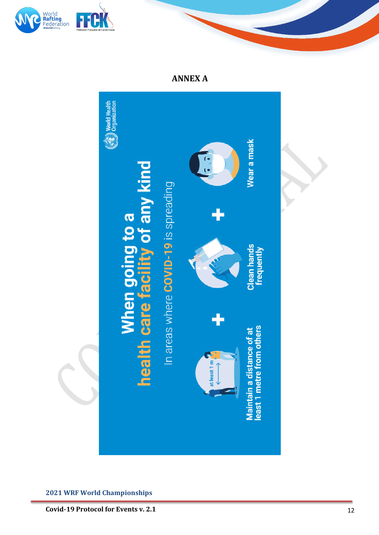



**ANNEX A**